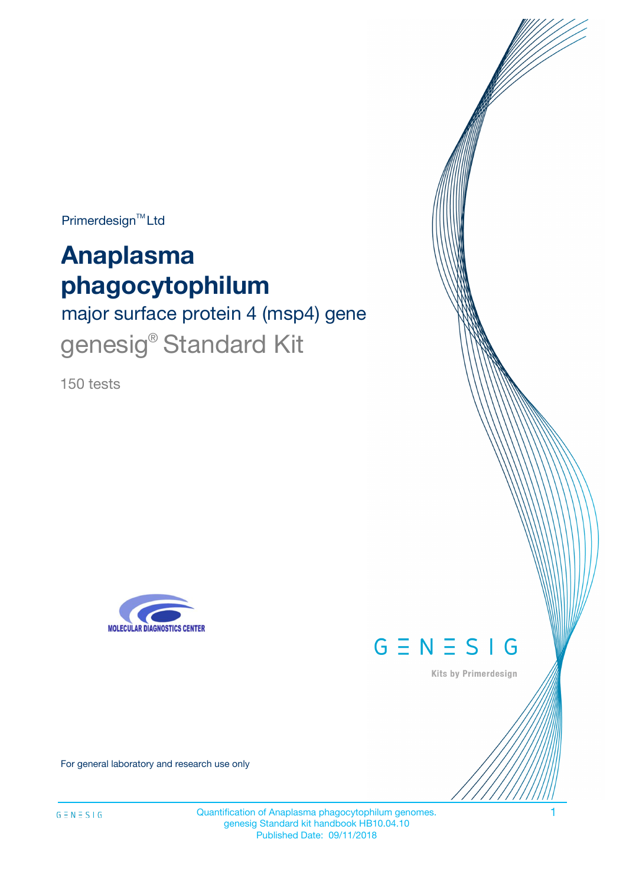$Primerdesign^{\text{TM}}Ltd$ 

# **Anaplasma phagocytophilum**

major surface protein 4 (msp4) gene genesig<sup>®</sup> Standard Kit

150 tests





Kits by Primerdesign

For general laboratory and research use only

Quantification of Anaplasma phagocytophilum genomes. 1 genesig Standard kit handbook HB10.04.10 Published Date: 09/11/2018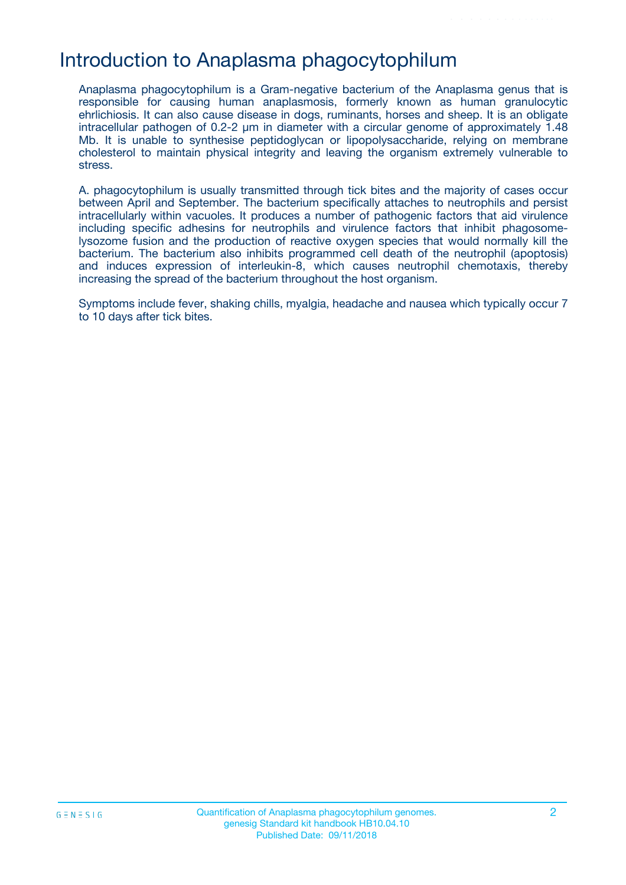# Introduction to Anaplasma phagocytophilum

Anaplasma phagocytophilum is a Gram-negative bacterium of the Anaplasma genus that is responsible for causing human anaplasmosis, formerly known as human granulocytic ehrlichiosis. It can also cause disease in dogs, ruminants, horses and sheep. It is an obligate intracellular pathogen of 0.2-2 µm in diameter with a circular genome of approximately 1.48 Mb. It is unable to synthesise peptidoglycan or lipopolysaccharide, relying on membrane cholesterol to maintain physical integrity and leaving the organism extremely vulnerable to stress.

A. phagocytophilum is usually transmitted through tick bites and the majority of cases occur between April and September. The bacterium specifically attaches to neutrophils and persist intracellularly within vacuoles. It produces a number of pathogenic factors that aid virulence including specific adhesins for neutrophils and virulence factors that inhibit phagosomelysozome fusion and the production of reactive oxygen species that would normally kill the bacterium. The bacterium also inhibits programmed cell death of the neutrophil (apoptosis) and induces expression of interleukin-8, which causes neutrophil chemotaxis, thereby increasing the spread of the bacterium throughout the host organism.

Symptoms include fever, shaking chills, myalgia, headache and nausea which typically occur 7 to 10 days after tick bites.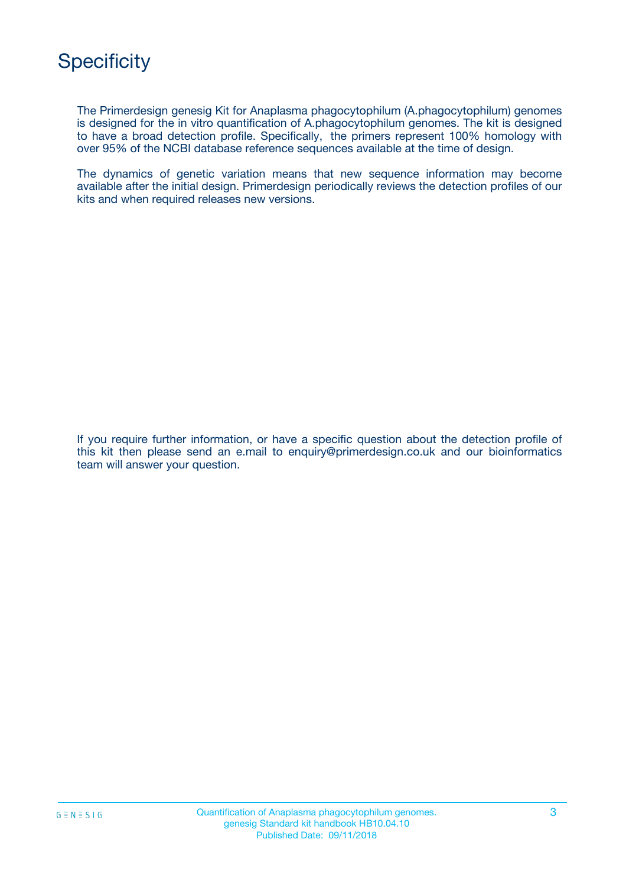

The Primerdesign genesig Kit for Anaplasma phagocytophilum (A.phagocytophilum) genomes is designed for the in vitro quantification of A.phagocytophilum genomes. The kit is designed to have a broad detection profile. Specifically, the primers represent 100% homology with over 95% of the NCBI database reference sequences available at the time of design.

The dynamics of genetic variation means that new sequence information may become available after the initial design. Primerdesign periodically reviews the detection profiles of our kits and when required releases new versions.

If you require further information, or have a specific question about the detection profile of this kit then please send an e.mail to enquiry@primerdesign.co.uk and our bioinformatics team will answer your question.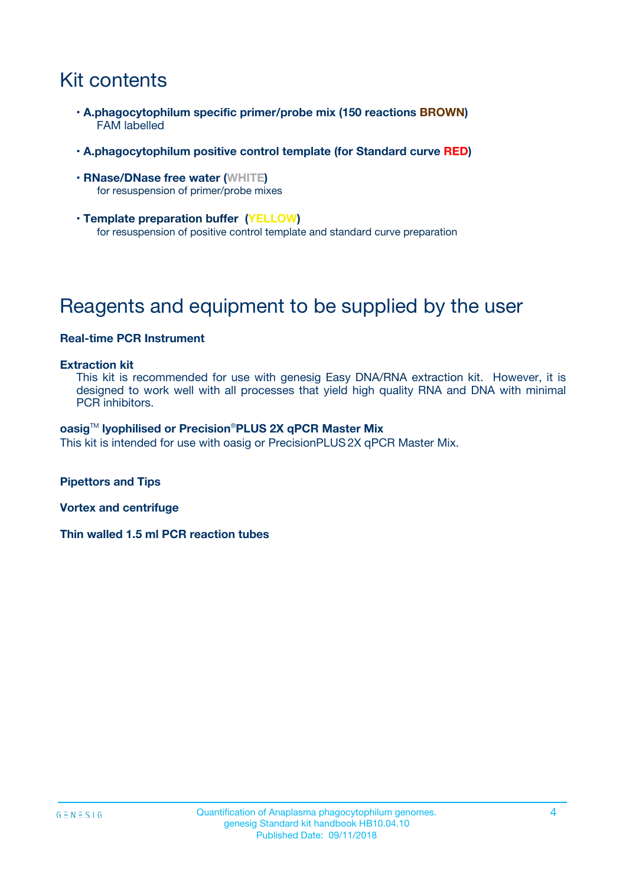# Kit contents

- **A.phagocytophilum specific primer/probe mix (150 reactions BROWN)** FAM labelled
- **A.phagocytophilum positive control template (for Standard curve RED)**
- **RNase/DNase free water (WHITE)** for resuspension of primer/probe mixes
- **Template preparation buffer (YELLOW)** for resuspension of positive control template and standard curve preparation

# Reagents and equipment to be supplied by the user

#### **Real-time PCR Instrument**

#### **Extraction kit**

This kit is recommended for use with genesig Easy DNA/RNA extraction kit. However, it is designed to work well with all processes that yield high quality RNA and DNA with minimal PCR inhibitors.

#### **oasig**TM **lyophilised or Precision**®**PLUS 2X qPCR Master Mix**

This kit is intended for use with oasig or PrecisionPLUS2X qPCR Master Mix.

**Pipettors and Tips**

**Vortex and centrifuge**

**Thin walled 1.5 ml PCR reaction tubes**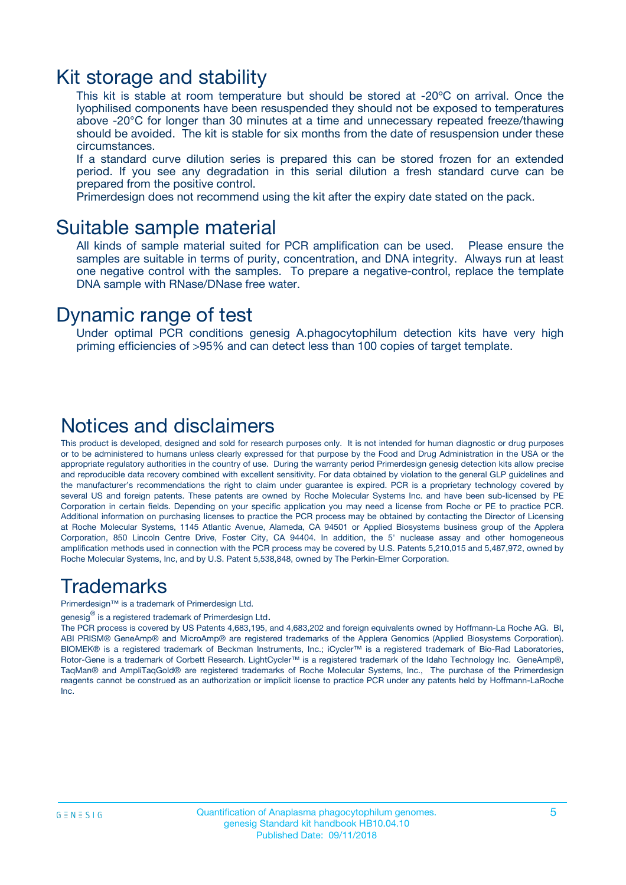### Kit storage and stability

This kit is stable at room temperature but should be stored at -20ºC on arrival. Once the lyophilised components have been resuspended they should not be exposed to temperatures above -20°C for longer than 30 minutes at a time and unnecessary repeated freeze/thawing should be avoided. The kit is stable for six months from the date of resuspension under these circumstances.

If a standard curve dilution series is prepared this can be stored frozen for an extended period. If you see any degradation in this serial dilution a fresh standard curve can be prepared from the positive control.

Primerdesign does not recommend using the kit after the expiry date stated on the pack.

### Suitable sample material

All kinds of sample material suited for PCR amplification can be used. Please ensure the samples are suitable in terms of purity, concentration, and DNA integrity. Always run at least one negative control with the samples. To prepare a negative-control, replace the template DNA sample with RNase/DNase free water.

### Dynamic range of test

Under optimal PCR conditions genesig A.phagocytophilum detection kits have very high priming efficiencies of >95% and can detect less than 100 copies of target template.

### Notices and disclaimers

This product is developed, designed and sold for research purposes only. It is not intended for human diagnostic or drug purposes or to be administered to humans unless clearly expressed for that purpose by the Food and Drug Administration in the USA or the appropriate regulatory authorities in the country of use. During the warranty period Primerdesign genesig detection kits allow precise and reproducible data recovery combined with excellent sensitivity. For data obtained by violation to the general GLP guidelines and the manufacturer's recommendations the right to claim under guarantee is expired. PCR is a proprietary technology covered by several US and foreign patents. These patents are owned by Roche Molecular Systems Inc. and have been sub-licensed by PE Corporation in certain fields. Depending on your specific application you may need a license from Roche or PE to practice PCR. Additional information on purchasing licenses to practice the PCR process may be obtained by contacting the Director of Licensing at Roche Molecular Systems, 1145 Atlantic Avenue, Alameda, CA 94501 or Applied Biosystems business group of the Applera Corporation, 850 Lincoln Centre Drive, Foster City, CA 94404. In addition, the 5' nuclease assay and other homogeneous amplification methods used in connection with the PCR process may be covered by U.S. Patents 5,210,015 and 5,487,972, owned by Roche Molecular Systems, Inc, and by U.S. Patent 5,538,848, owned by The Perkin-Elmer Corporation.

### Trademarks

Primerdesign™ is a trademark of Primerdesign Ltd.

genesig $^\circledR$  is a registered trademark of Primerdesign Ltd.

The PCR process is covered by US Patents 4,683,195, and 4,683,202 and foreign equivalents owned by Hoffmann-La Roche AG. BI, ABI PRISM® GeneAmp® and MicroAmp® are registered trademarks of the Applera Genomics (Applied Biosystems Corporation). BIOMEK® is a registered trademark of Beckman Instruments, Inc.; iCycler™ is a registered trademark of Bio-Rad Laboratories, Rotor-Gene is a trademark of Corbett Research. LightCycler™ is a registered trademark of the Idaho Technology Inc. GeneAmp®, TaqMan® and AmpliTaqGold® are registered trademarks of Roche Molecular Systems, Inc., The purchase of the Primerdesign reagents cannot be construed as an authorization or implicit license to practice PCR under any patents held by Hoffmann-LaRoche Inc.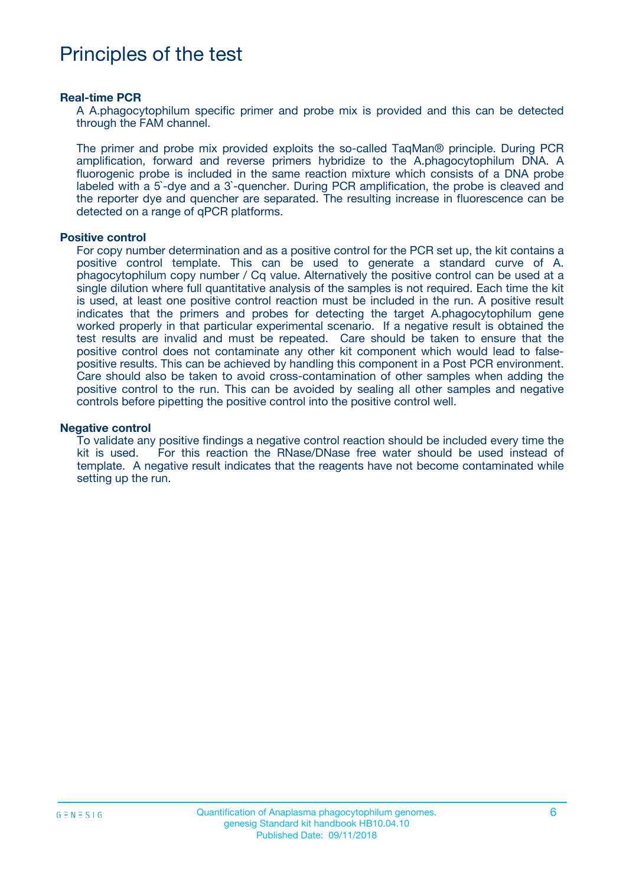# Principles of the test

#### **Real-time PCR**

A A.phagocytophilum specific primer and probe mix is provided and this can be detected through the FAM channel.

The primer and probe mix provided exploits the so-called TaqMan® principle. During PCR amplification, forward and reverse primers hybridize to the A.phagocytophilum DNA. A fluorogenic probe is included in the same reaction mixture which consists of a DNA probe labeled with a 5`-dye and a 3`-quencher. During PCR amplification, the probe is cleaved and the reporter dye and quencher are separated. The resulting increase in fluorescence can be detected on a range of qPCR platforms.

#### **Positive control**

For copy number determination and as a positive control for the PCR set up, the kit contains a positive control template. This can be used to generate a standard curve of A. phagocytophilum copy number / Cq value. Alternatively the positive control can be used at a single dilution where full quantitative analysis of the samples is not required. Each time the kit is used, at least one positive control reaction must be included in the run. A positive result indicates that the primers and probes for detecting the target A.phagocytophilum gene worked properly in that particular experimental scenario. If a negative result is obtained the test results are invalid and must be repeated. Care should be taken to ensure that the positive control does not contaminate any other kit component which would lead to falsepositive results. This can be achieved by handling this component in a Post PCR environment. Care should also be taken to avoid cross-contamination of other samples when adding the positive control to the run. This can be avoided by sealing all other samples and negative controls before pipetting the positive control into the positive control well.

#### **Negative control**

To validate any positive findings a negative control reaction should be included every time the kit is used. For this reaction the RNase/DNase free water should be used instead of template. A negative result indicates that the reagents have not become contaminated while setting up the run.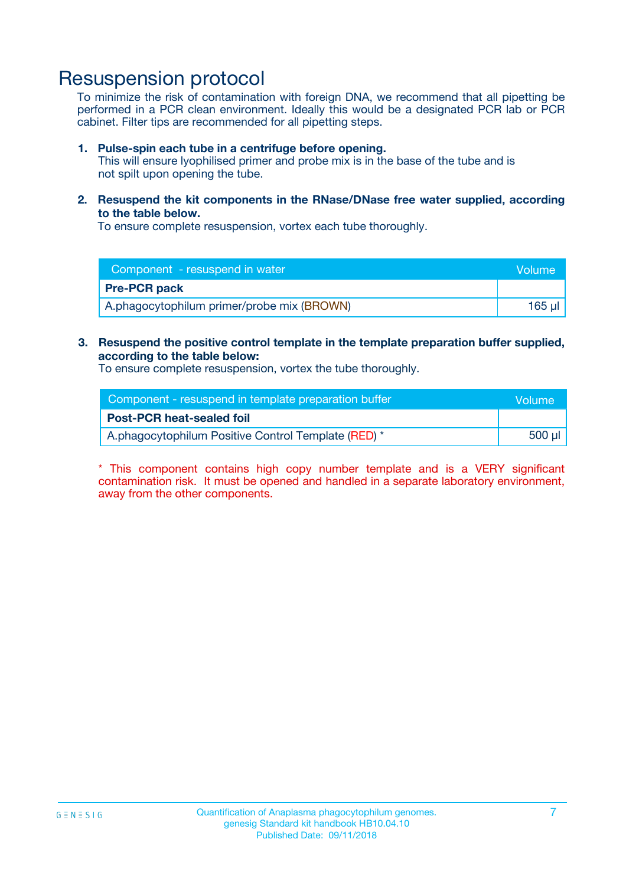### Resuspension protocol

To minimize the risk of contamination with foreign DNA, we recommend that all pipetting be performed in a PCR clean environment. Ideally this would be a designated PCR lab or PCR cabinet. Filter tips are recommended for all pipetting steps.

#### **1. Pulse-spin each tube in a centrifuge before opening.**

This will ensure lyophilised primer and probe mix is in the base of the tube and is not spilt upon opening the tube.

**2. Resuspend the kit components in the RNase/DNase free water supplied, according to the table below.**

To ensure complete resuspension, vortex each tube thoroughly.

| Component - resuspend in water             | Volume |
|--------------------------------------------|--------|
| <b>Pre-PCR pack</b>                        |        |
| A.phagocytophilum primer/probe mix (BROWN) | 165 ul |

### **3. Resuspend the positive control template in the template preparation buffer supplied, according to the table below:**

To ensure complete resuspension, vortex the tube thoroughly.

| Component - resuspend in template preparation buffer | Volume |
|------------------------------------------------------|--------|
| <b>Post-PCR heat-sealed foil</b>                     |        |
| A.phagocytophilum Positive Control Template (RED) *  | 500 µl |

\* This component contains high copy number template and is a VERY significant contamination risk. It must be opened and handled in a separate laboratory environment, away from the other components.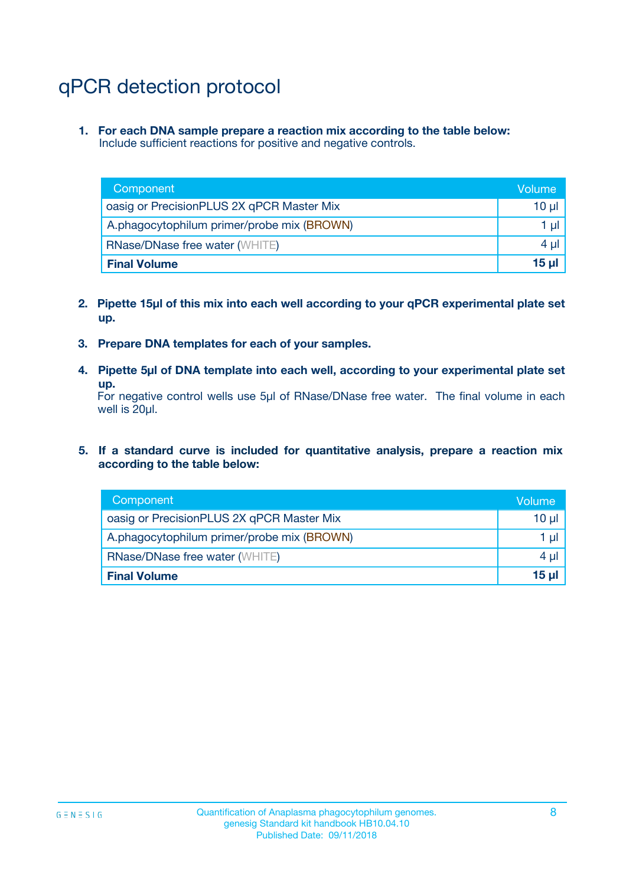# qPCR detection protocol

**1. For each DNA sample prepare a reaction mix according to the table below:** Include sufficient reactions for positive and negative controls.

| Component                                  | Volume   |
|--------------------------------------------|----------|
| oasig or PrecisionPLUS 2X qPCR Master Mix  | $10 \mu$ |
| A.phagocytophilum primer/probe mix (BROWN) | 1 µl     |
| <b>RNase/DNase free water (WHITE)</b>      | $4 \mu$  |
| <b>Final Volume</b>                        | 15 ul    |

- **2. Pipette 15µl of this mix into each well according to your qPCR experimental plate set up.**
- **3. Prepare DNA templates for each of your samples.**
- **4. Pipette 5µl of DNA template into each well, according to your experimental plate set up.**

For negative control wells use 5µl of RNase/DNase free water. The final volume in each well is 20µl.

**5. If a standard curve is included for quantitative analysis, prepare a reaction mix according to the table below:**

| Component                                  | Volume   |
|--------------------------------------------|----------|
| oasig or PrecisionPLUS 2X qPCR Master Mix  | 10 µl    |
| A.phagocytophilum primer/probe mix (BROWN) | 1 µI     |
| <b>RNase/DNase free water (WHITE)</b>      | $4 \mu$  |
| <b>Final Volume</b>                        | $15 \mu$ |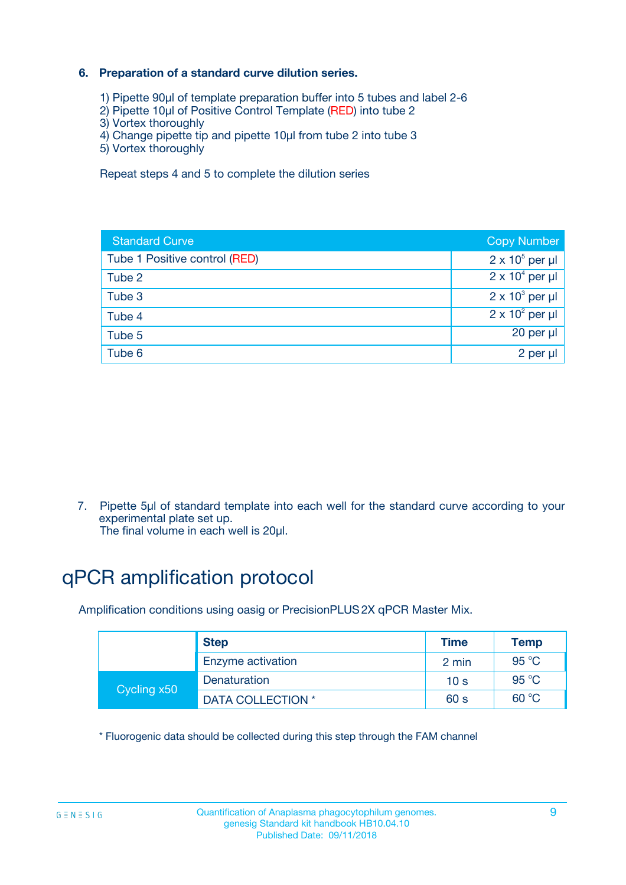### **6. Preparation of a standard curve dilution series.**

- 1) Pipette 90µl of template preparation buffer into 5 tubes and label 2-6
- 2) Pipette 10µl of Positive Control Template (RED) into tube 2
- 3) Vortex thoroughly
- 4) Change pipette tip and pipette 10µl from tube 2 into tube 3
- 5) Vortex thoroughly

Repeat steps 4 and 5 to complete the dilution series

| <b>Standard Curve</b>         | <b>Copy Number</b>     |
|-------------------------------|------------------------|
| Tube 1 Positive control (RED) | $2 \times 10^5$ per µl |
| Tube 2                        | $2 \times 10^4$ per µl |
| Tube 3                        | $2 \times 10^3$ per µl |
| Tube 4                        | $2 \times 10^2$ per µl |
| Tube 5                        | 20 per µl              |
| Tube 6                        | $2$ per $\mu$          |

7. Pipette 5µl of standard template into each well for the standard curve according to your experimental plate set up.

The final volume in each well is 20µl.

# qPCR amplification protocol

Amplification conditions using oasig or PrecisionPLUS2X qPCR Master Mix.

|             | <b>Step</b>       | <b>Time</b>     | Temp    |
|-------------|-------------------|-----------------|---------|
|             | Enzyme activation | 2 min           | 95 °C   |
| Cycling x50 | Denaturation      | 10 <sub>s</sub> | 95 $°C$ |
|             | DATA COLLECTION * | 60 s            | 60 °C   |

\* Fluorogenic data should be collected during this step through the FAM channel